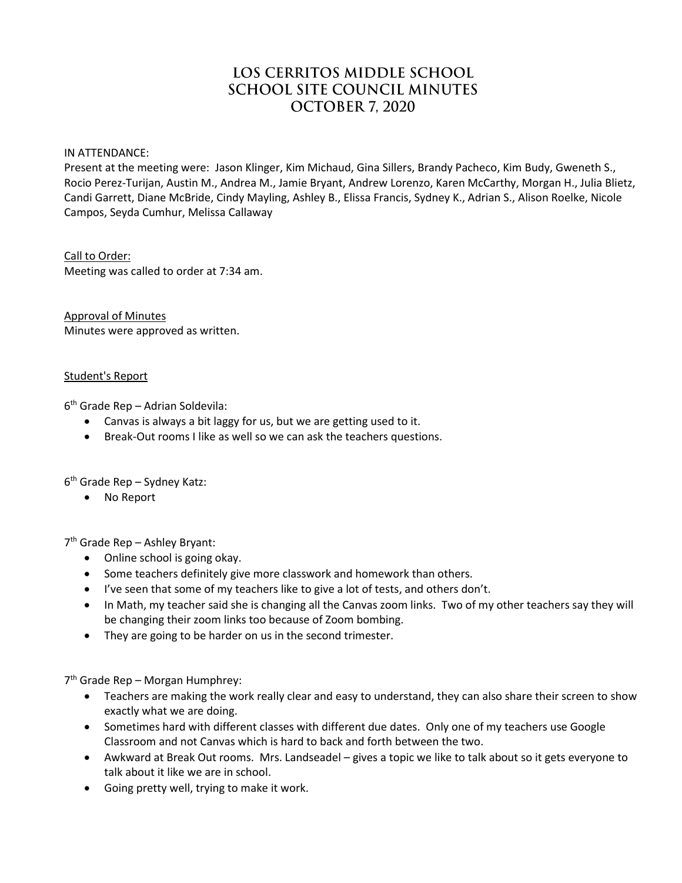# LOS CERRITOS MIDDLE SCHOOL **SCHOOL SITE COUNCIL MINUTES** OCTOBER 7, 2020

IN ATTENDANCE:

Present at the meeting were: Jason Klinger, Kim Michaud, Gina Sillers, Brandy Pacheco, Kim Budy, Gweneth S., Rocio Perez-Turijan, Austin M., Andrea M., Jamie Bryant, Andrew Lorenzo, Karen McCarthy, Morgan H., Julia Blietz, Candi Garrett, Diane McBride, Cindy Mayling, Ashley B., Elissa Francis, Sydney K., Adrian S., Alison Roelke, Nicole Campos, Seyda Cumhur, Melissa Callaway

## Call to Order:

Meeting was called to order at 7:34 am.

Approval of Minutes Minutes were approved as written.

# Student's Report

6 th Grade Rep – Adrian Soldevila:

- Canvas is always a bit laggy for us, but we are getting used to it.
- Break-Out rooms I like as well so we can ask the teachers questions.

6 th Grade Rep – Sydney Katz:

No Report

7 th Grade Rep – Ashley Bryant:

- Online school is going okay.
- Some teachers definitely give more classwork and homework than others.
- I've seen that some of my teachers like to give a lot of tests, and others don't.
- In Math, my teacher said she is changing all the Canvas zoom links. Two of my other teachers say they will be changing their zoom links too because of Zoom bombing.
- They are going to be harder on us in the second trimester.

7<sup>th</sup> Grade Rep - Morgan Humphrey:

- Teachers are making the work really clear and easy to understand, they can also share their screen to show exactly what we are doing.
- Sometimes hard with different classes with different due dates. Only one of my teachers use Google Classroom and not Canvas which is hard to back and forth between the two.
- Awkward at Break Out rooms. Mrs. Landseadel gives a topic we like to talk about so it gets everyone to talk about it like we are in school.
- Going pretty well, trying to make it work.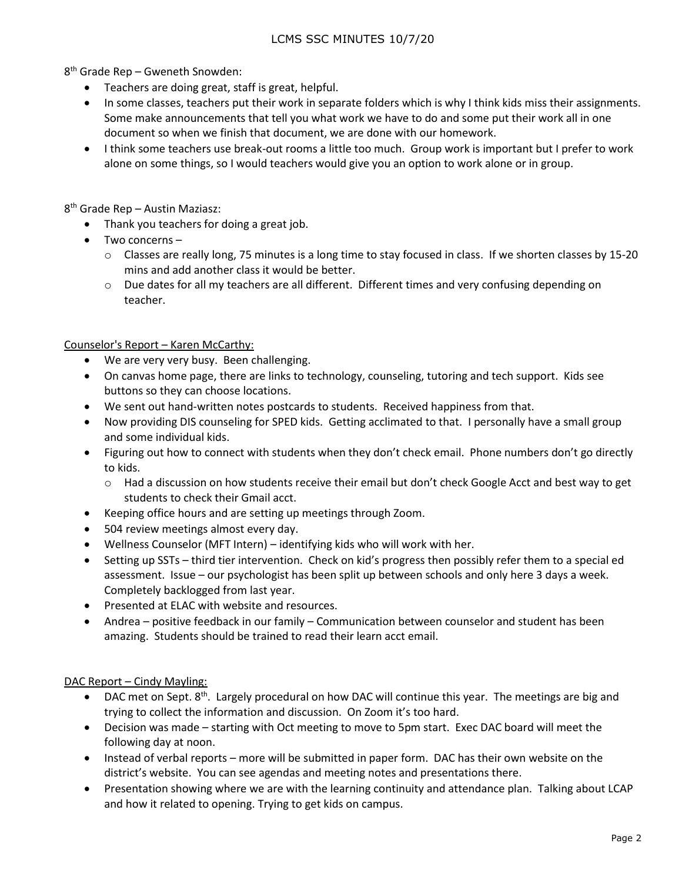8 th Grade Rep – Gweneth Snowden:

- Teachers are doing great, staff is great, helpful.
- In some classes, teachers put their work in separate folders which is why I think kids miss their assignments. Some make announcements that tell you what work we have to do and some put their work all in one document so when we finish that document, we are done with our homework.
- I think some teachers use break-out rooms a little too much. Group work is important but I prefer to work alone on some things, so I would teachers would give you an option to work alone or in group.

8<sup>th</sup> Grade Rep – Austin Maziasz:

- Thank you teachers for doing a great job.
- Two concerns
	- $\circ$  Classes are really long, 75 minutes is a long time to stay focused in class. If we shorten classes by 15-20 mins and add another class it would be better.
	- $\circ$  Due dates for all my teachers are all different. Different times and very confusing depending on teacher.

## Counselor's Report – Karen McCarthy:

- We are very very busy. Been challenging.
- On canvas home page, there are links to technology, counseling, tutoring and tech support. Kids see buttons so they can choose locations.
- We sent out hand-written notes postcards to students. Received happiness from that.
- Now providing DIS counseling for SPED kids. Getting acclimated to that. I personally have a small group and some individual kids.
- Figuring out how to connect with students when they don't check email. Phone numbers don't go directly to kids.
	- o Had a discussion on how students receive their email but don't check Google Acct and best way to get students to check their Gmail acct.
- Keeping office hours and are setting up meetings through Zoom.
- 504 review meetings almost every day.
- Wellness Counselor (MFT Intern) identifying kids who will work with her.
- Setting up SSTs third tier intervention. Check on kid's progress then possibly refer them to a special ed assessment. Issue – our psychologist has been split up between schools and only here 3 days a week. Completely backlogged from last year.
- Presented at ELAC with website and resources.
- Andrea positive feedback in our family Communication between counselor and student has been amazing. Students should be trained to read their learn acct email.

# DAC Report – Cindy Mayling:

- $\bullet$  DAC met on Sept. 8<sup>th</sup>. Largely procedural on how DAC will continue this year. The meetings are big and trying to collect the information and discussion. On Zoom it's too hard.
- Decision was made starting with Oct meeting to move to 5pm start. Exec DAC board will meet the following day at noon.
- Instead of verbal reports more will be submitted in paper form. DAC has their own website on the district's website. You can see agendas and meeting notes and presentations there.
- Presentation showing where we are with the learning continuity and attendance plan. Talking about LCAP and how it related to opening. Trying to get kids on campus.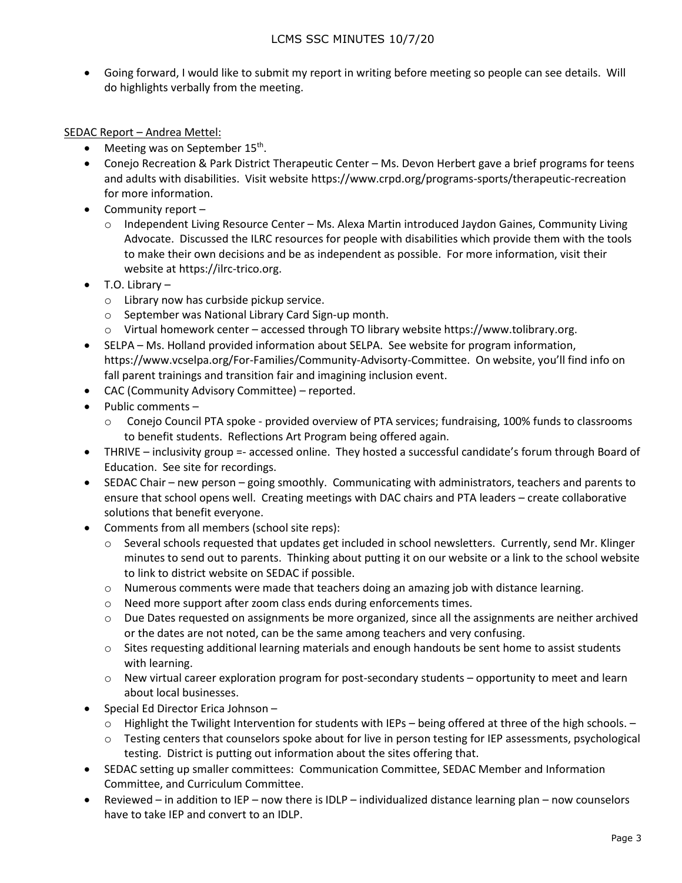Going forward, I would like to submit my report in writing before meeting so people can see details. Will do highlights verbally from the meeting.

## SEDAC Report – Andrea Mettel:

- Meeting was on September 15<sup>th</sup>.
- Conejo Recreation & Park District Therapeutic Center Ms. Devon Herbert gave a brief programs for teens and adults with disabilities. Visit website https://www.crpd.org/programs-sports/therapeutic-recreation for more information.
- $\bullet$  Community report
	- o Independent Living Resource Center Ms. Alexa Martin introduced Jaydon Gaines, Community Living Advocate. Discussed the ILRC resources for people with disabilities which provide them with the tools to make their own decisions and be as independent as possible. For more information, visit their website at https://ilrc-trico.org.
- $\bullet$  T.O. Library
	- o Library now has curbside pickup service.
	- o September was National Library Card Sign-up month.
	- o Virtual homework center accessed through TO library website https://www.tolibrary.org.
- SELPA Ms. Holland provided information about SELPA. See website for program information, https://www.vcselpa.org/For-Families/Community-Advisorty-Committee. On website, you'll find info on fall parent trainings and transition fair and imagining inclusion event.
- CAC (Community Advisory Committee) reported.
- $\bullet$  Public comments
	- o Conejo Council PTA spoke provided overview of PTA services; fundraising, 100% funds to classrooms to benefit students. Reflections Art Program being offered again.
- THRIVE inclusivity group =- accessed online. They hosted a successful candidate's forum through Board of Education. See site for recordings.
- SEDAC Chair new person going smoothly. Communicating with administrators, teachers and parents to ensure that school opens well. Creating meetings with DAC chairs and PTA leaders – create collaborative solutions that benefit everyone.
- Comments from all members (school site reps):
	- $\circ$  Several schools requested that updates get included in school newsletters. Currently, send Mr. Klinger minutes to send out to parents. Thinking about putting it on our website or a link to the school website to link to district website on SEDAC if possible.
	- $\circ$  Numerous comments were made that teachers doing an amazing job with distance learning.
	- o Need more support after zoom class ends during enforcements times.
	- o Due Dates requested on assignments be more organized, since all the assignments are neither archived or the dates are not noted, can be the same among teachers and very confusing.
	- $\circ$  Sites requesting additional learning materials and enough handouts be sent home to assist students with learning.
	- $\circ$  New virtual career exploration program for post-secondary students opportunity to meet and learn about local businesses.
- Special Ed Director Erica Johnson
	- o Highlight the Twilight Intervention for students with IEPs being offered at three of the high schools. –
	- $\circ$  Testing centers that counselors spoke about for live in person testing for IEP assessments, psychological testing. District is putting out information about the sites offering that.
- SEDAC setting up smaller committees: Communication Committee, SEDAC Member and Information Committee, and Curriculum Committee.
- Reviewed in addition to IEP now there is IDLP individualized distance learning plan now counselors have to take IEP and convert to an IDLP.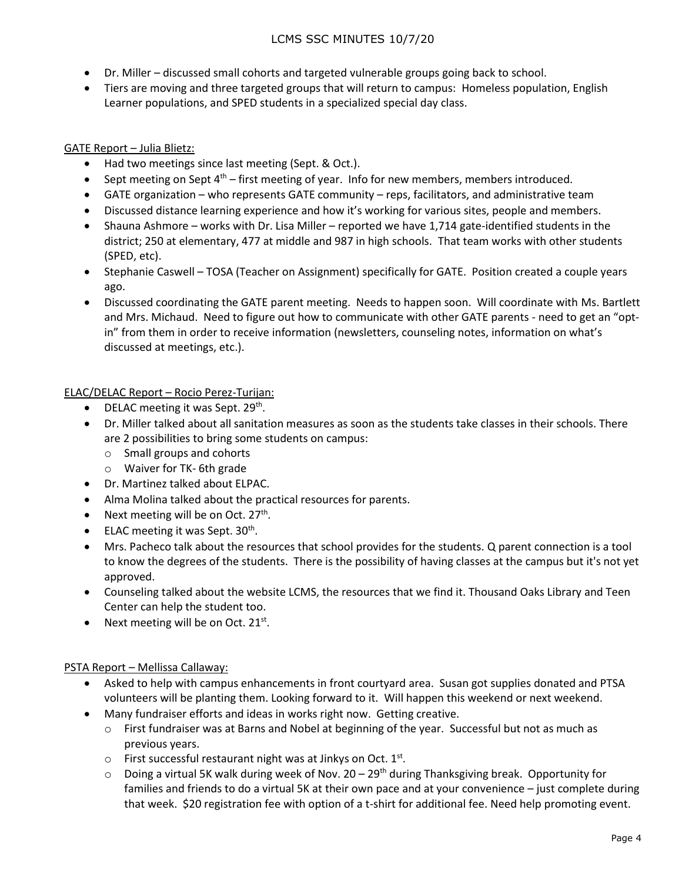# LCMS SSC MINUTES 10/7/20

- Dr. Miller discussed small cohorts and targeted vulnerable groups going back to school.
- Tiers are moving and three targeted groups that will return to campus: Homeless population, English Learner populations, and SPED students in a specialized special day class.

# GATE Report – Julia Blietz:

- Had two meetings since last meeting (Sept. & Oct.).
- **Sept meeting on Sept 4th first meeting of year. Info for new members, members introduced.**
- GATE organization who represents GATE community reps, facilitators, and administrative team
- Discussed distance learning experience and how it's working for various sites, people and members.
- Shauna Ashmore works with Dr. Lisa Miller reported we have 1,714 gate-identified students in the district; 250 at elementary, 477 at middle and 987 in high schools. That team works with other students (SPED, etc).
- Stephanie Caswell TOSA (Teacher on Assignment) specifically for GATE. Position created a couple years ago.
- Discussed coordinating the GATE parent meeting. Needs to happen soon. Will coordinate with Ms. Bartlett and Mrs. Michaud. Need to figure out how to communicate with other GATE parents - need to get an "optin" from them in order to receive information (newsletters, counseling notes, information on what's discussed at meetings, etc.).

# ELAC/DELAC Report – Rocio Perez-Turijan:

- DELAC meeting it was Sept.  $29<sup>th</sup>$ .
- Dr. Miller talked about all sanitation measures as soon as the students take classes in their schools. There are 2 possibilities to bring some students on campus:
	- o Small groups and cohorts
	- o Waiver for TK- 6th grade
- Dr. Martinez talked about ELPAC.
- Alma Molina talked about the practical resources for parents.
- Next meeting will be on Oct.  $27<sup>th</sup>$ .
- $\bullet$  ELAC meeting it was Sept. 30<sup>th</sup>.
- Mrs. Pacheco talk about the resources that school provides for the students. Q parent connection is a tool to know the degrees of the students. There is the possibility of having classes at the campus but it's not yet approved.
- Counseling talked about the website LCMS, the resources that we find it. Thousand Oaks Library and Teen Center can help the student too.
- Next meeting will be on Oct.  $21^{st}$ .

## PSTA Report – Mellissa Callaway:

- Asked to help with campus enhancements in front courtyard area. Susan got supplies donated and PTSA volunteers will be planting them. Looking forward to it. Will happen this weekend or next weekend.
- Many fundraiser efforts and ideas in works right now. Getting creative.
	- o First fundraiser was at Barns and Nobel at beginning of the year. Successful but not as much as previous years.
	- $\circ$  First successful restaurant night was at Jinkys on Oct.  $1^{st}$ .
	- $\circ$  Doing a virtual 5K walk during week of Nov. 20 29<sup>th</sup> during Thanksgiving break. Opportunity for families and friends to do a virtual 5K at their own pace and at your convenience – just complete during that week. \$20 registration fee with option of a t-shirt for additional fee. Need help promoting event.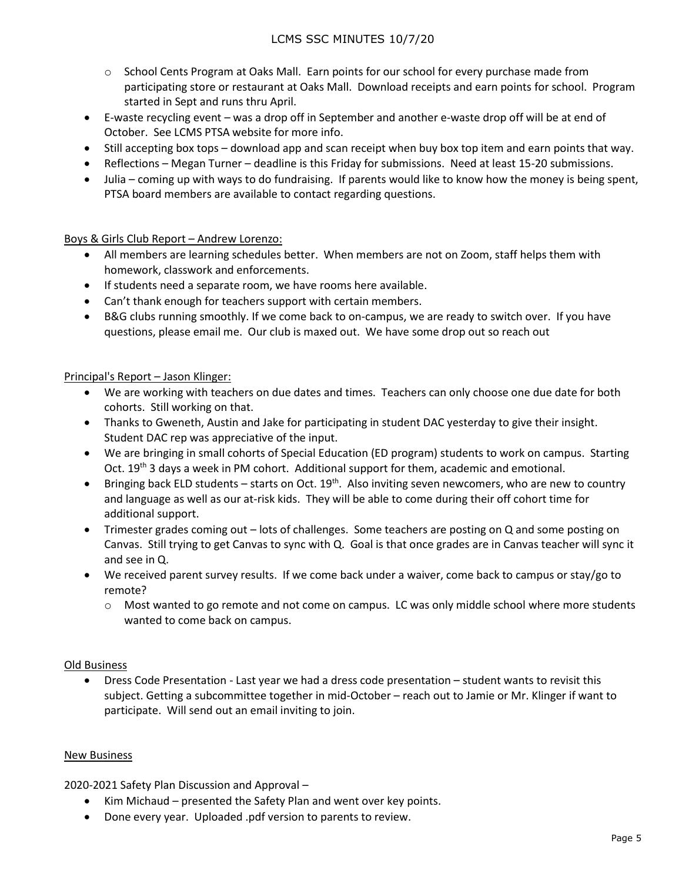- o School Cents Program at Oaks Mall. Earn points for our school for every purchase made from participating store or restaurant at Oaks Mall. Download receipts and earn points for school. Program started in Sept and runs thru April.
- E-waste recycling event was a drop off in September and another e-waste drop off will be at end of October. See LCMS PTSA website for more info.
- Still accepting box tops download app and scan receipt when buy box top item and earn points that way.
- Reflections Megan Turner deadline is this Friday for submissions. Need at least 15-20 submissions.
- Julia coming up with ways to do fundraising. If parents would like to know how the money is being spent, PTSA board members are available to contact regarding questions.

Boys & Girls Club Report – Andrew Lorenzo:

- All members are learning schedules better. When members are not on Zoom, staff helps them with homework, classwork and enforcements.
- If students need a separate room, we have rooms here available.
- Can't thank enough for teachers support with certain members.
- B&G clubs running smoothly. If we come back to on-campus, we are ready to switch over. If you have questions, please email me. Our club is maxed out. We have some drop out so reach out

## Principal's Report – Jason Klinger:

- We are working with teachers on due dates and times. Teachers can only choose one due date for both cohorts. Still working on that.
- Thanks to Gweneth, Austin and Jake for participating in student DAC yesterday to give their insight. Student DAC rep was appreciative of the input.
- We are bringing in small cohorts of Special Education (ED program) students to work on campus. Starting Oct. 19<sup>th</sup> 3 days a week in PM cohort. Additional support for them, academic and emotional.
- **•** Bringing back ELD students starts on Oct.  $19<sup>th</sup>$ . Also inviting seven newcomers, who are new to country and language as well as our at-risk kids. They will be able to come during their off cohort time for additional support.
- Trimester grades coming out lots of challenges. Some teachers are posting on Q and some posting on Canvas. Still trying to get Canvas to sync with Q. Goal is that once grades are in Canvas teacher will sync it and see in Q.
- We received parent survey results. If we come back under a waiver, come back to campus or stay/go to remote?
	- $\circ$  Most wanted to go remote and not come on campus. LC was only middle school where more students wanted to come back on campus.

## Old Business

 Dress Code Presentation - Last year we had a dress code presentation – student wants to revisit this subject. Getting a subcommittee together in mid-October – reach out to Jamie or Mr. Klinger if want to participate. Will send out an email inviting to join.

## New Business

2020-2021 Safety Plan Discussion and Approval –

- Kim Michaud presented the Safety Plan and went over key points.
- Done every year. Uploaded .pdf version to parents to review.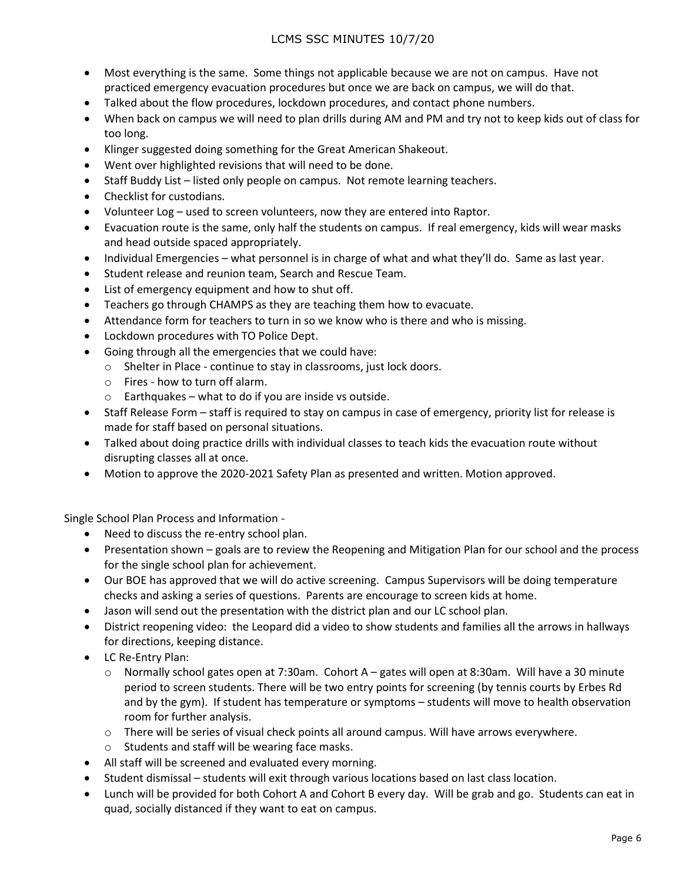# LCMS SSC MINUTES 10/7/20

- Most everything is the same. Some things not applicable because we are not on campus. Have not practiced emergency evacuation procedures but once we are back on campus, we will do that.
- Talked about the flow procedures, lockdown procedures, and contact phone numbers.
- When back on campus we will need to plan drills during AM and PM and try not to keep kids out of class for too long.
- Klinger suggested doing something for the Great American Shakeout.
- Went over highlighted revisions that will need to be done.
- Staff Buddy List listed only people on campus. Not remote learning teachers.
- Checklist for custodians.
- Volunteer Log used to screen volunteers, now they are entered into Raptor.
- Evacuation route is the same, only half the students on campus. If real emergency, kids will wear masks and head outside spaced appropriately.
- Individual Emergencies what personnel is in charge of what and what they'll do. Same as last year.
- Student release and reunion team, Search and Rescue Team.
- List of emergency equipment and how to shut off.
- Teachers go through CHAMPS as they are teaching them how to evacuate.
- Attendance form for teachers to turn in so we know who is there and who is missing.
- Lockdown procedures with TO Police Dept.
- Going through all the emergencies that we could have:
	- o Shelter in Place continue to stay in classrooms, just lock doors.
	- o Fires how to turn off alarm.
	- o Earthquakes what to do if you are inside vs outside.
- Staff Release Form staff is required to stay on campus in case of emergency, priority list for release is made for staff based on personal situations.
- Talked about doing practice drills with individual classes to teach kids the evacuation route without disrupting classes all at once.
- Motion to approve the 2020-2021 Safety Plan as presented and written. Motion approved.

Single School Plan Process and Information -

- Need to discuss the re-entry school plan.
- Presentation shown goals are to review the Reopening and Mitigation Plan for our school and the process for the single school plan for achievement.
- Our BOE has approved that we will do active screening. Campus Supervisors will be doing temperature checks and asking a series of questions. Parents are encourage to screen kids at home.
- Jason will send out the presentation with the district plan and our LC school plan.
- District reopening video: the Leopard did a video to show students and families all the arrows in hallways for directions, keeping distance.
- LC Re-Entry Plan:
	- o Normally school gates open at 7:30am. Cohort A gates will open at 8:30am. Will have a 30 minute period to screen students. There will be two entry points for screening (by tennis courts by Erbes Rd and by the gym). If student has temperature or symptoms – students will move to health observation room for further analysis.
	- $\circ$  There will be series of visual check points all around campus. Will have arrows everywhere.
	- o Students and staff will be wearing face masks.
- All staff will be screened and evaluated every morning.
- Student dismissal students will exit through various locations based on last class location.
- Lunch will be provided for both Cohort A and Cohort B every day. Will be grab and go. Students can eat in quad, socially distanced if they want to eat on campus.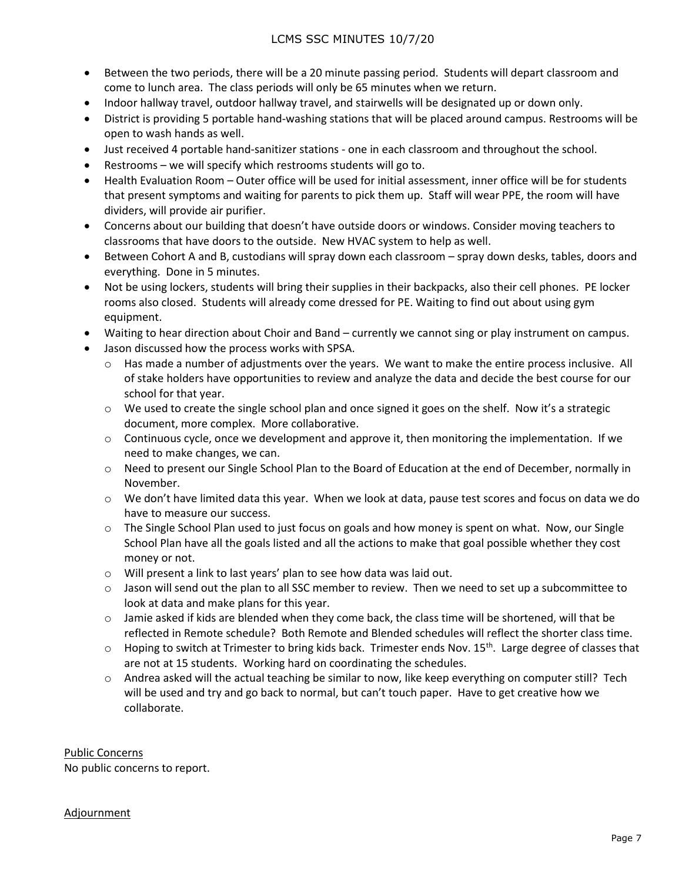# LCMS SSC MINUTES 10/7/20

- Between the two periods, there will be a 20 minute passing period. Students will depart classroom and come to lunch area. The class periods will only be 65 minutes when we return.
- Indoor hallway travel, outdoor hallway travel, and stairwells will be designated up or down only.
- District is providing 5 portable hand-washing stations that will be placed around campus. Restrooms will be open to wash hands as well.
- Just received 4 portable hand-sanitizer stations one in each classroom and throughout the school.
- Restrooms we will specify which restrooms students will go to.
- Health Evaluation Room Outer office will be used for initial assessment, inner office will be for students that present symptoms and waiting for parents to pick them up. Staff will wear PPE, the room will have dividers, will provide air purifier.
- Concerns about our building that doesn't have outside doors or windows. Consider moving teachers to classrooms that have doors to the outside. New HVAC system to help as well.
- Between Cohort A and B, custodians will spray down each classroom spray down desks, tables, doors and everything. Done in 5 minutes.
- Not be using lockers, students will bring their supplies in their backpacks, also their cell phones. PE locker rooms also closed. Students will already come dressed for PE. Waiting to find out about using gym equipment.
- Waiting to hear direction about Choir and Band currently we cannot sing or play instrument on campus.
- Jason discussed how the process works with SPSA.
	- o Has made a number of adjustments over the years. We want to make the entire process inclusive. All of stake holders have opportunities to review and analyze the data and decide the best course for our school for that year.
	- $\circ$  We used to create the single school plan and once signed it goes on the shelf. Now it's a strategic document, more complex. More collaborative.
	- $\circ$  Continuous cycle, once we development and approve it, then monitoring the implementation. If we need to make changes, we can.
	- o Need to present our Single School Plan to the Board of Education at the end of December, normally in November.
	- o We don't have limited data this year. When we look at data, pause test scores and focus on data we do have to measure our success.
	- $\circ$  The Single School Plan used to just focus on goals and how money is spent on what. Now, our Single School Plan have all the goals listed and all the actions to make that goal possible whether they cost money or not.
	- o Will present a link to last years' plan to see how data was laid out.
	- $\circ$  Jason will send out the plan to all SSC member to review. Then we need to set up a subcommittee to look at data and make plans for this year.
	- $\circ$  Jamie asked if kids are blended when they come back, the class time will be shortened, will that be reflected in Remote schedule? Both Remote and Blended schedules will reflect the shorter class time.
	- $\circ$  Hoping to switch at Trimester to bring kids back. Trimester ends Nov. 15<sup>th</sup>. Large degree of classes that are not at 15 students. Working hard on coordinating the schedules.
	- o Andrea asked will the actual teaching be similar to now, like keep everything on computer still? Tech will be used and try and go back to normal, but can't touch paper. Have to get creative how we collaborate.

Public Concerns No public concerns to report.